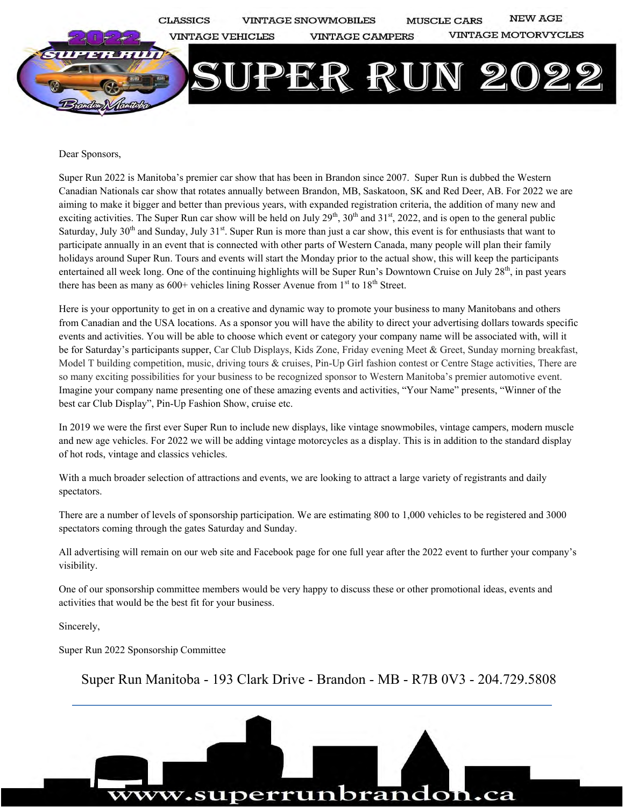

Dear Sponsors,

Super Run 2022 is Manitoba's premier car show that has been in Brandon since 2007. Super Run is dubbed the Western Canadian Nationals car show that rotates annually between Brandon, MB, Saskatoon, SK and Red Deer, AB. For 2022 we are aiming to make it bigger and better than previous years, with expanded registration criteria, the addition of many new and exciting activities. The Super Run car show will be held on July  $29<sup>th</sup>$ ,  $30<sup>th</sup>$  and  $31<sup>st</sup>$ ,  $2022$ , and is open to the general public Saturday, July  $30<sup>th</sup>$  and Sunday, July  $31<sup>st</sup>$ . Super Run is more than just a car show, this event is for enthusiasts that want to participate annually in an event that is connected with other parts of Western Canada, many people will plan their family holidays around Super Run. Tours and events will start the Monday prior to the actual show, this will keep the participants entertained all week long. One of the continuing highlights will be Super Run's Downtown Cruise on July  $28<sup>th</sup>$ , in past years there has been as many as  $600+$  vehicles lining Rosser Avenue from  $1<sup>st</sup>$  to  $18<sup>th</sup>$  Street.

Here is your opportunity to get in on a creative and dynamic way to promote your business to many Manitobans and others from Canadian and the USA locations. As a sponsor you will have the ability to direct your advertising dollars towards specific events and activities. You will be able to choose which event or category your company name will be associated with, will it be for Saturday's participants supper, Car Club Displays, Kids Zone, Friday evening Meet & Greet, Sunday morning breakfast, Model T building competition, music, driving tours & cruises, Pin-Up Girl fashion contest or Centre Stage activities, There are so many exciting possibilities for your business to be recognized sponsor to Western Manitoba's premier automotive event. Imagine your company name presenting one of these amazing events and activities, "Your Name" presents, "Winner of the best car Club Display", Pin-Up Fashion Show, cruise etc.

In 2019 we were the first ever Super Run to include new displays, like vintage snowmobiles, vintage campers, modern muscle and new age vehicles. For 2022 we will be adding vintage motorcycles as a display. This is in addition to the standard display of hot rods, vintage and classics vehicles.

With a much broader selection of attractions and events, we are looking to attract a large variety of registrants and daily spectators.

There are a number of levels of sponsorship participation. We are estimating 800 to 1,000 vehicles to be registered and 3000 spectators coming through the gates Saturday and Sunday.

All advertising will remain on our web site and Facebook page for one full year after the 2022 event to further your company's visibility.

One of our sponsorship committee members would be very happy to discuss these or other promotional ideas, events and activities that would be the best fit for your business.

Sincerely,

Super Run 2022 Sponsorship Committee

Super Run Manitoba - 193 Clark Drive - Brandon - MB - R7B 0V3 - 204.729.5808

w.superrunbrandon.ca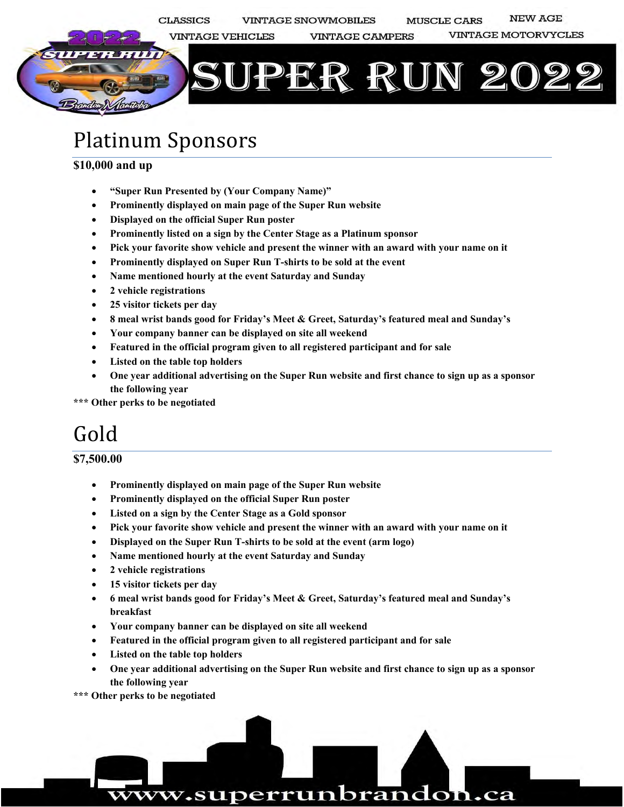

### Platinum Sponsors

#### **\$10,000 and up**

- **"Super Run Presented by (Your Company Name)"**
- **Prominently displayed on main page of the Super Run website**
- **Displayed on the official Super Run poster**
- **Prominently listed on a sign by the Center Stage as a Platinum sponsor**
- **Pick your favorite show vehicle and present the winner with an award with your name on it**
- **Prominently displayed on Super Run T-shirts to be sold at the event**
- **Name mentioned hourly at the event Saturday and Sunday**
- **2 vehicle registrations**
- **25 visitor tickets per day**
- **8 meal wrist bands good for Friday's Meet & Greet, Saturday's featured meal and Sunday's**
- **Your company banner can be displayed on site all weekend**
- **Featured in the official program given to all registered participant and for sale**
- **Listed on the table top holders**
- **One year additional advertising on the Super Run website and first chance to sign up as a sponsor the following year**

**\*\*\* Other perks to be negotiated** 

### Gold

#### **\$7,500.00**

- **Prominently displayed on main page of the Super Run website**
- **Prominently displayed on the official Super Run poster**
- **Listed on a sign by the Center Stage as a Gold sponsor**
- **Pick your favorite show vehicle and present the winner with an award with your name on it**
- **Displayed on the Super Run T-shirts to be sold at the event (arm logo)**
- **Name mentioned hourly at the event Saturday and Sunday**
- **2 vehicle registrations**
- **15 visitor tickets per day**
- **6 meal wrist bands good for Friday's Meet & Greet, Saturday's featured meal and Sunday's breakfast**
- **Your company banner can be displayed on site all weekend**
- **Featured in the official program given to all registered participant and for sale**
- **Listed on the table top holders**
- **One year additional advertising on the Super Run website and first chance to sign up as a sponsor the following year**

ww.superrunbrandon.ca

**\*\*\* Other perks to be negotiated**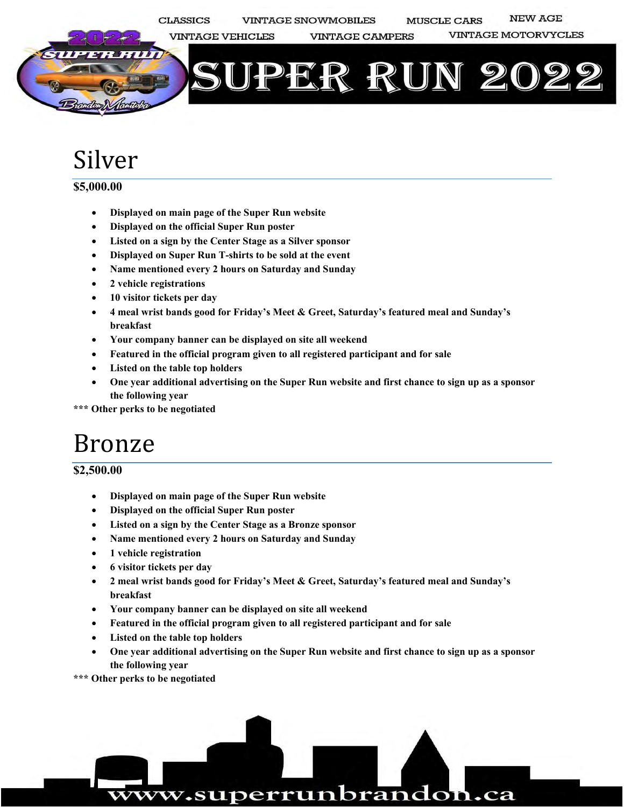

# Silver

#### **\$5,000.00**

- **Displayed on main page of the Super Run website**
- **Displayed on the official Super Run poster**
- **Listed on a sign by the Center Stage as a Silver sponsor**
- **Displayed on Super Run T-shirts to be sold at the event**
- **Name mentioned every 2 hours on Saturday and Sunday**
- **2 vehicle registrations**
- **10 visitor tickets per day**
- **4 meal wrist bands good for Friday's Meet & Greet, Saturday's featured meal and Sunday's breakfast**
- **Your company banner can be displayed on site all weekend**
- **Featured in the official program given to all registered participant and for sale**
- **Listed on the table top holders**
- **One year additional advertising on the Super Run website and first chance to sign up as a sponsor the following year**

**\*\*\* Other perks to be negotiated** 

# Bronze

### **\$2,500.00**

- **Displayed on main page of the Super Run website**
- **Displayed on the official Super Run poster**
- **Listed on a sign by the Center Stage as a Bronze sponsor**
- **Name mentioned every 2 hours on Saturday and Sunday**
- **1 vehicle registration**
- **6 visitor tickets per day**
- **2 meal wrist bands good for Friday's Meet & Greet, Saturday's featured meal and Sunday's breakfast**
- **Your company banner can be displayed on site all weekend**
- **Featured in the official program given to all registered participant and for sale**
- **Listed on the table top holders**
- **One year additional advertising on the Super Run website and first chance to sign up as a sponsor the following year**

**\*\*\* Other perks to be negotiated**